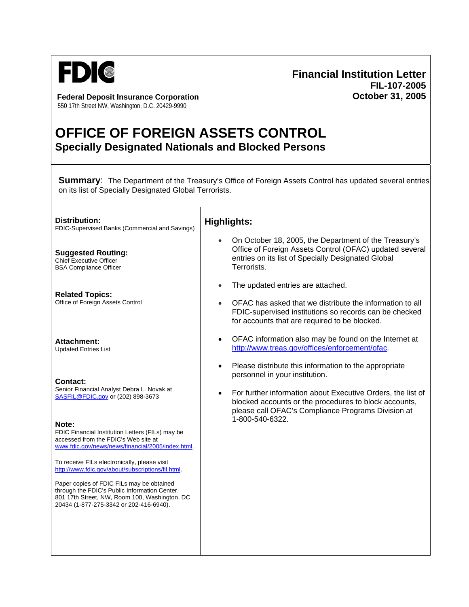

**Federal Deposit Insurance Corporation October 31, 2005** 550 17th Street NW, Washington, D.C. 20429-9990

## **Financial Institution Letter FIL-107-2005**

## **OFFICE OF FOREIGN ASSETS CONTROL Specially Designated Nationals and Blocked Persons**

**Summary:** The Department of the Treasury's Office of Foreign Assets Control has updated several entries on its list of Specially Designated Global Terrorists.

| Distribution:<br>FDIC-Supervised Banks (Commercial and Savings)                                                                                                                                                                                                                                                                                                                                                                                                                                                                                            | <b>Highlights:</b>                                                                                                                                                                                                                                                                                                 |
|------------------------------------------------------------------------------------------------------------------------------------------------------------------------------------------------------------------------------------------------------------------------------------------------------------------------------------------------------------------------------------------------------------------------------------------------------------------------------------------------------------------------------------------------------------|--------------------------------------------------------------------------------------------------------------------------------------------------------------------------------------------------------------------------------------------------------------------------------------------------------------------|
| <b>Suggested Routing:</b><br>Chief Executive Officer<br><b>BSA Compliance Officer</b>                                                                                                                                                                                                                                                                                                                                                                                                                                                                      | On October 18, 2005, the Department of the Treasury's<br>Office of Foreign Assets Control (OFAC) updated several<br>entries on its list of Specially Designated Global<br>Terrorists.                                                                                                                              |
| <b>Related Topics:</b><br>Office of Foreign Assets Control                                                                                                                                                                                                                                                                                                                                                                                                                                                                                                 | The updated entries are attached.<br>$\bullet$<br>OFAC has asked that we distribute the information to all<br>FDIC-supervised institutions so records can be checked<br>for accounts that are required to be blocked.                                                                                              |
| <b>Attachment:</b><br><b>Updated Entries List</b>                                                                                                                                                                                                                                                                                                                                                                                                                                                                                                          | OFAC information also may be found on the Internet at<br>$\bullet$<br>http://www.treas.gov/offices/enforcement/ofac.                                                                                                                                                                                               |
| <b>Contact:</b><br>Senior Financial Analyst Debra L. Novak at<br>SASFIL@FDIC.gov or (202) 898-3673<br>Note:<br>FDIC Financial Institution Letters (FILs) may be<br>accessed from the FDIC's Web site at<br>www.fdic.gov/news/news/financial/2005/index.html<br>To receive FILs electronically, please visit<br>http://www.fdic.gov/about/subscriptions/fil.html.<br>Paper copies of FDIC FILs may be obtained<br>through the FDIC's Public Information Center,<br>801 17th Street, NW, Room 100, Washington, DC<br>20434 (1-877-275-3342 or 202-416-6940). | Please distribute this information to the appropriate<br>$\bullet$<br>personnel in your institution.<br>For further information about Executive Orders, the list of<br>$\bullet$<br>blocked accounts or the procedures to block accounts,<br>please call OFAC's Compliance Programs Division at<br>1-800-540-6322. |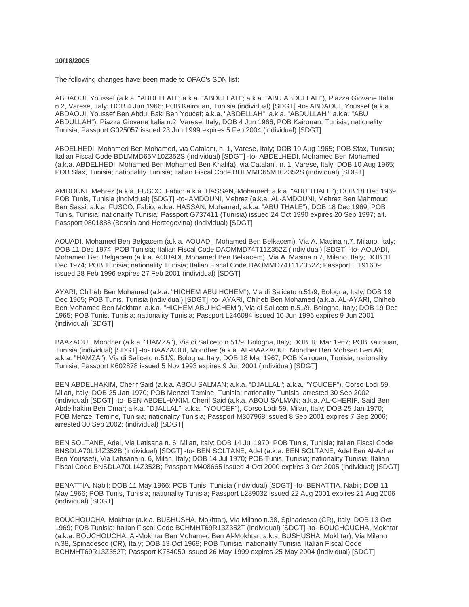## **10/18/2005**

The following changes have been made to OFAC's SDN list:

ABDAOUI, Youssef (a.k.a. "ABDELLAH"; a.k.a. "ABDULLAH"; a.k.a. "ABU ABDULLAH"), Piazza Giovane Italia n.2, Varese, Italy; DOB 4 Jun 1966; POB Kairouan, Tunisia (individual) [SDGT] -to- ABDAOUI, Youssef (a.k.a. ABDAOUI, Youssef Ben Abdul Baki Ben Youcef; a.k.a. "ABDELLAH"; a.k.a. "ABDULLAH"; a.k.a. "ABU ABDULLAH"), Piazza Giovane Italia n.2, Varese, Italy; DOB 4 Jun 1966; POB Kairouan, Tunisia; nationality Tunisia; Passport G025057 issued 23 Jun 1999 expires 5 Feb 2004 (individual) [SDGT]

ABDELHEDI, Mohamed Ben Mohamed, via Catalani, n. 1, Varese, Italy; DOB 10 Aug 1965; POB Sfax, Tunisia; Italian Fiscal Code BDLMMD65M10Z352S (individual) [SDGT] -to- ABDELHEDI, Mohamed Ben Mohamed (a.k.a. ABDELHEDI, Mohamed Ben Mohamed Ben Khalifa), via Catalani, n. 1, Varese, Italy; DOB 10 Aug 1965; POB Sfax, Tunisia; nationality Tunisia; Italian Fiscal Code BDLMMD65M10Z352S (individual) [SDGT]

AMDOUNI, Mehrez (a.k.a. FUSCO, Fabio; a.k.a. HASSAN, Mohamed; a.k.a. "ABU THALE"); DOB 18 Dec 1969; POB Tunis, Tunisia (individual) [SDGT] -to- AMDOUNI, Mehrez (a.k.a. AL-AMDOUNI, Mehrez Ben Mahmoud Ben Sassi; a.k.a. FUSCO, Fabio; a.k.a. HASSAN, Mohamed; a.k.a. "ABU THALE"); DOB 18 Dec 1969; POB Tunis, Tunisia; nationality Tunisia; Passport G737411 (Tunisia) issued 24 Oct 1990 expires 20 Sep 1997; alt. Passport 0801888 (Bosnia and Herzegovina) (individual) [SDGT]

AOUADI, Mohamed Ben Belgacem (a.k.a. AOUADI, Mohamed Ben Belkacem), Via A. Masina n.7, Milano, Italy; DOB 11 Dec 1974; POB Tunisia; Italian Fiscal Code DAOMMD74T11Z352Z (individual) [SDGT] -to- AOUADI, Mohamed Ben Belgacem (a.k.a. AOUADI, Mohamed Ben Belkacem), Via A. Masina n.7, Milano, Italy; DOB 11 Dec 1974; POB Tunisia; nationality Tunisia; Italian Fiscal Code DAOMMD74T11Z352Z; Passport L 191609 issued 28 Feb 1996 expires 27 Feb 2001 (individual) [SDGT]

AYARI, Chiheb Ben Mohamed (a.k.a. "HICHEM ABU HCHEM"), Via di Saliceto n.51/9, Bologna, Italy; DOB 19 Dec 1965; POB Tunis, Tunisia (individual) [SDGT] -to- AYARI, Chiheb Ben Mohamed (a.k.a. AL-AYARI, Chiheb Ben Mohamed Ben Mokhtar; a.k.a. "HICHEM ABU HCHEM"), Via di Saliceto n.51/9, Bologna, Italy; DOB 19 Dec 1965; POB Tunis, Tunisia; nationality Tunisia; Passport L246084 issued 10 Jun 1996 expires 9 Jun 2001 (individual) [SDGT]

BAAZAOUI, Mondher (a.k.a. "HAMZA"), Via di Saliceto n.51/9, Bologna, Italy; DOB 18 Mar 1967; POB Kairouan, Tunisia (individual) [SDGT] -to- BAAZAOUI, Mondher (a.k.a. AL-BAAZAOUI, Mondher Ben Mohsen Ben Ali; a.k.a. "HAMZA"), Via di Saliceto n.51/9, Bologna, Italy; DOB 18 Mar 1967; POB Kairouan, Tunisia; nationality Tunisia; Passport K602878 issued 5 Nov 1993 expires 9 Jun 2001 (individual) [SDGT]

BEN ABDELHAKIM, Cherif Said (a.k.a. ABOU SALMAN; a.k.a. "DJALLAL"; a.k.a. "YOUCEF"), Corso Lodi 59, Milan, Italy; DOB 25 Jan 1970; POB Menzel Temine, Tunisia; nationality Tunisia; arrested 30 Sep 2002 (individual) [SDGT] -to- BEN ABDELHAKIM, Cherif Said (a.k.a. ABOU SALMAN; a.k.a. AL-CHERIF, Said Ben Abdelhakim Ben Omar; a.k.a. "DJALLAL"; a.k.a. "YOUCEF"), Corso Lodi 59, Milan, Italy; DOB 25 Jan 1970; POB Menzel Temine, Tunisia; nationality Tunisia; Passport M307968 issued 8 Sep 2001 expires 7 Sep 2006; arrested 30 Sep 2002; (individual) [SDGT]

BEN SOLTANE, Adel, Via Latisana n. 6, Milan, Italy; DOB 14 Jul 1970; POB Tunis, Tunisia; Italian Fiscal Code BNSDLA70L14Z352B (individual) [SDGT] -to- BEN SOLTANE, Adel (a.k.a. BEN SOLTANE, Adel Ben Al-Azhar Ben Youssef), Via Latisana n. 6, Milan, Italy; DOB 14 Jul 1970; POB Tunis, Tunisia; nationality Tunisia; Italian Fiscal Code BNSDLA70L14Z352B; Passport M408665 issued 4 Oct 2000 expires 3 Oct 2005 (individual) [SDGT]

BENATTIA, Nabil; DOB 11 May 1966; POB Tunis, Tunisia (individual) [SDGT] -to- BENATTIA, Nabil; DOB 11 May 1966; POB Tunis, Tunisia; nationality Tunisia; Passport L289032 issued 22 Aug 2001 expires 21 Aug 2006 (individual) [SDGT]

BOUCHOUCHA, Mokhtar (a.k.a. BUSHUSHA, Mokhtar), Via Milano n.38, Spinadesco (CR), Italy; DOB 13 Oct 1969; POB Tunisia; Italian Fiscal Code BCHMHT69R13Z352T (individual) [SDGT] -to- BOUCHOUCHA, Mokhtar (a.k.a. BOUCHOUCHA, Al-Mokhtar Ben Mohamed Ben Al-Mokhtar; a.k.a. BUSHUSHA, Mokhtar), Via Milano n.38, Spinadesco (CR), Italy; DOB 13 Oct 1969; POB Tunisia; nationality Tunisia; Italian Fiscal Code BCHMHT69R13Z352T; Passport K754050 issued 26 May 1999 expires 25 May 2004 (individual) [SDGT]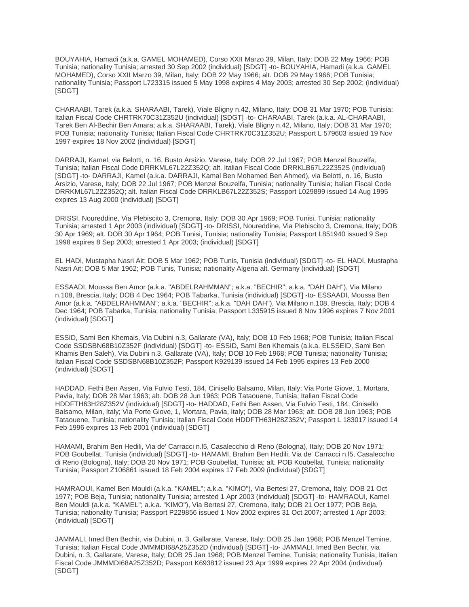BOUYAHIA, Hamadi (a.k.a. GAMEL MOHAMED), Corso XXII Marzo 39, Milan, Italy; DOB 22 May 1966; POB Tunisia; nationality Tunisia; arrested 30 Sep 2002 (individual) [SDGT] -to- BOUYAHIA, Hamadi (a.k.a. GAMEL MOHAMED), Corso XXII Marzo 39, Milan, Italy; DOB 22 May 1966; alt. DOB 29 May 1966; POB Tunisia; nationality Tunisia; Passport L723315 issued 5 May 1998 expires 4 May 2003; arrested 30 Sep 2002; (individual) [SDGT]

CHARAABI, Tarek (a.k.a. SHARAABI, Tarek), Viale Bligny n.42, Milano, Italy; DOB 31 Mar 1970; POB Tunisia; Italian Fiscal Code CHRTRK70C31Z352U (individual) [SDGT] -to- CHARAABI, Tarek (a.k.a. AL-CHARAABI, Tarek Ben Al-Bechir Ben Amara; a.k.a. SHARAABI, Tarek), Viale Bligny n.42, Milano, Italy; DOB 31 Mar 1970; POB Tunisia; nationality Tunisia; Italian Fiscal Code CHRTRK70C31Z352U; Passport L 579603 issued 19 Nov 1997 expires 18 Nov 2002 (individual) [SDGT]

DARRAJI, Kamel, via Belotti, n. 16, Busto Arsizio, Varese, Italy; DOB 22 Jul 1967; POB Menzel Bouzelfa, Tunisia; Italian Fiscal Code DRRKML67L22Z352Q; alt. Italian Fiscal Code DRRKLB67L22Z352S (individual) [SDGT] -to- DARRAJI, Kamel (a.k.a. DARRAJI, Kamal Ben Mohamed Ben Ahmed), via Belotti, n. 16, Busto Arsizio, Varese, Italy; DOB 22 Jul 1967; POB Menzel Bouzelfa, Tunisia; nationality Tunisia; Italian Fiscal Code DRRKML67L22Z352Q; alt. Italian Fiscal Code DRRKLB67L22Z352S; Passport L029899 issued 14 Aug 1995 expires 13 Aug 2000 (individual) [SDGT]

DRISSI, Noureddine, Via Plebiscito 3, Cremona, Italy; DOB 30 Apr 1969; POB Tunisi, Tunisia; nationality Tunisia; arrested 1 Apr 2003 (individual) [SDGT] -to- DRISSI, Noureddine, Via Plebiscito 3, Cremona, Italy; DOB 30 Apr 1969; alt. DOB 30 Apr 1964; POB Tunisi, Tunisia; nationality Tunisia; Passport L851940 issued 9 Sep 1998 expires 8 Sep 2003; arrested 1 Apr 2003; (individual) [SDGT]

EL HADI, Mustapha Nasri Ait; DOB 5 Mar 1962; POB Tunis, Tunisia (individual) [SDGT] -to- EL HADI, Mustapha Nasri Ait; DOB 5 Mar 1962; POB Tunis, Tunisia; nationality Algeria alt. Germany (individual) [SDGT]

ESSAADI, Moussa Ben Amor (a.k.a. "ABDELRAHMMAN"; a.k.a. "BECHIR"; a.k.a. "DAH DAH"), Via Milano n.108, Brescia, Italy; DOB 4 Dec 1964; POB Tabarka, Tunisia (individual) [SDGT] -to- ESSAADI, Moussa Ben Amor (a.k.a. "ABDELRAHMMAN"; a.k.a. "BECHIR"; a.k.a. "DAH DAH"), Via Milano n.108, Brescia, Italy; DOB 4 Dec 1964; POB Tabarka, Tunisia; nationality Tunisia; Passport L335915 issued 8 Nov 1996 expires 7 Nov 2001 (individual) [SDGT]

ESSID, Sami Ben Khemais, Via Dubini n.3, Gallarate (VA), Italy; DOB 10 Feb 1968; POB Tunisia; Italian Fiscal Code SSDSBN68B10Z352F (individual) [SDGT] -to- ESSID, Sami Ben Khemais (a.k.a. ELSSEID, Sami Ben Khamis Ben Saleh), Via Dubini n.3, Gallarate (VA), Italy; DOB 10 Feb 1968; POB Tunisia; nationality Tunisia; Italian Fiscal Code SSDSBN68B10Z352F; Passport K929139 issued 14 Feb 1995 expires 13 Feb 2000 (individual) [SDGT]

HADDAD, Fethi Ben Assen, Via Fulvio Testi, 184, Cinisello Balsamo, Milan, Italy; Via Porte Giove, 1, Mortara, Pavia, Italy; DOB 28 Mar 1963; alt. DOB 28 Jun 1963; POB Tataouene, Tunisia; Italian Fiscal Code HDDFTH63H28Z352V (individual) [SDGT] -to- HADDAD, Fethi Ben Assen, Via Fulvio Testi, 184, Cinisello Balsamo, Milan, Italy; Via Porte Giove, 1, Mortara, Pavia, Italy; DOB 28 Mar 1963; alt. DOB 28 Jun 1963; POB Tataouene, Tunisia; nationality Tunisia; Italian Fiscal Code HDDFTH63H28Z352V; Passport L 183017 issued 14 Feb 1996 expires 13 Feb 2001 (individual) [SDGT]

HAMAMI, Brahim Ben Hedili, Via de' Carracci n.l5, Casalecchio di Reno (Bologna), Italy; DOB 20 Nov 1971; POB Goubellat, Tunisia (individual) [SDGT] -to- HAMAMI, Brahim Ben Hedili, Via de' Carracci n.l5, Casalecchio di Reno (Bologna), Italy; DOB 20 Nov 1971; POB Goubellat, Tunisia; alt. POB Koubellat, Tunisia; nationality Tunisia; Passport Z106861 issued 18 Feb 2004 expires 17 Feb 2009 (individual) [SDGT]

HAMRAOUI, Kamel Ben Mouldi (a.k.a. "KAMEL"; a.k.a. "KIMO"), Via Bertesi 27, Cremona, Italy; DOB 21 Oct 1977; POB Beja, Tunisia; nationality Tunisia; arrested 1 Apr 2003 (individual) [SDGT] -to- HAMRAOUI, Kamel Ben Mouldi (a.k.a. "KAMEL"; a.k.a. "KIMO"), Via Bertesi 27, Cremona, Italy; DOB 21 Oct 1977; POB Beja, Tunisia; nationality Tunisia; Passport P229856 issued 1 Nov 2002 expires 31 Oct 2007; arrested 1 Apr 2003; (individual) [SDGT]

JAMMALI, Imed Ben Bechir, via Dubini, n. 3, Gallarate, Varese, Italy; DOB 25 Jan 1968; POB Menzel Temine, Tunisia; Italian Fiscal Code JMMMDI68A25Z352D (individual) [SDGT] -to- JAMMALI, Imed Ben Bechir, via Dubini, n. 3, Gallarate, Varese, Italy; DOB 25 Jan 1968; POB Menzel Temine, Tunisia; nationality Tunisia; Italian Fiscal Code JMMMDI68A25Z352D; Passport K693812 issued 23 Apr 1999 expires 22 Apr 2004 (individual) [SDGT]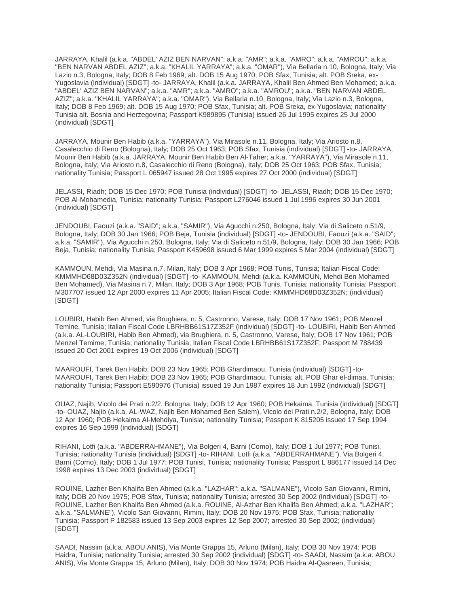JARRAYA, Khalil (a.k.a. "ABDEL' AZIZ BEN NARVAN"; a.k.a. "AMR"; a.k.a. "AMRO"; a.k.a. "AMROU"; a.k.a. "BEN NARVAN ABDEL AZIZ"; a.k.a. "KHALIL YARRAYA"; a.k.a. "OMAR"), Via Bellaria n.10, Bologna, Italy; Via Lazio n.3, Bologna, Italy; DOB 8 Feb 1969; alt. DOB 15 Aug 1970; POB Sfax, Tunisia; alt. POB Sreka, ex-Yugoslavia (individual) [SDGT] -to- JARRAYA, Khalil (a.k.a. JARRAYA, Khalil Ben Ahmed Ben Mohamed; a.k.a. "ABDEL' AZIZ BEN NARVAN"; a.k.a. "AMR"; a.k.a. "AMRO"; a.k.a. "AMROU"; a.k.a. "BEN NARVAN ABDEL AZIZ"; a.k.a. "KHALIL YARRAYA"; a.k.a. "OMAR"), Via Bellaria n.10, Bologna, Italy; Via Lazio n.3, Bologna, Italy; DOB 8 Feb 1969; alt. DOB 15 Aug 1970; POB Sfax, Tunisia; alt. POB Sreka, ex-Yugoslavia; nationality Tunisia alt. Bosnia and Herzegovina; Passport K989895 (Tunisia) issued 26 Jul 1995 expires 25 Jul 2000 (individual) [SDGT]

JARRAYA, Mounir Ben Habib (a.k.a. "YARRAYA"), Via Mirasole n.11, Bologna, Italy; Via Ariosto n.8, Casalecchio di Reno (Bologna), Italy; DOB 25 Oct 1963; POB Sfax, Tunisia (individual) [SDGT] -to- JARRAYA, Mounir Ben Habib (a.k.a. JARRAYA, Mounir Ben Habib Ben Al-Taher; a.k.a. "YARRAYA"), Via Mirasole n.11, Bologna, Italy; Via Ariosto n.8, Casalecchio di Reno (Bologna), Italy; DOB 25 Oct 1963; POB Sfax, Tunisia; nationality Tunisia; Passport L 065947 issued 28 Oct 1995 expires 27 Oct 2000 (individual) [SDGT]

JELASSI, Riadh; DOB 15 Dec 1970; POB Tunisia (individual) [SDGT] -to- JELASSI, Riadh; DOB 15 Dec 1970; POB Al-Mohamedia, Tunisia; nationality Tunisia; Passport L276046 issued 1 Jul 1996 expires 30 Jun 2001 (individual) [SDGT]

JENDOUBI, Faouzi (a.k.a. "SAID"; a.k.a. "SAMIR"), Via Agucchi n.250, Bologna, Italy; Via di Saliceto n.51/9, Bologna, Italy; DOB 30 Jan 1966; POB Beja, Tunisia (individual) [SDGT] -to- JENDOUBI, Faouzi (a.k.a. "SAID"; a.k.a. "SAMIR"), Via Agucchi n.250, Bologna, Italy; Via di Saliceto n.51/9, Bologna, Italy; DOB 30 Jan 1966; POB Beja, Tunisia; nationality Tunisia; Passport K459698 issued 6 Mar 1999 expires 5 Mar 2004 (individual) [SDGT]

KAMMOUN, Mehdi, Via Masina n.7, Milan, Italy; DOB 3 Apr 1968; POB Tunis, Tunisia; Italian Fiscal Code: KMMMHD68D03Z352N (individual) [SDGT] -to- KAMMOUN, Mehdi (a.k.a. KAMMOUN, Mehdi Ben Mohamed Ben Mohamed), Via Masina n.7, Milan, Italy; DOB 3 Apr 1968; POB Tunis, Tunisia; nationality Tunisia; Passport M307707 issued 12 Apr 2000 expires 11 Apr 2005; Italian Fiscal Code: KMMMHD68D03Z352N; (individual) [SDGT]

LOUBIRI, Habib Ben Ahmed, via Brughiera, n. 5, Castronno, Varese, Italy; DOB 17 Nov 1961; POB Menzel Temine, Tunisia; Italian Fiscal Code LBRHBB61S17Z352F (individual) [SDGT] -to- LOUBIRI, Habib Ben Ahmed (a.k.a. AL-LOUBIRI, Habib Ben Ahmed), via Brughiera, n. 5, Castronno, Varese, Italy; DOB 17 Nov 1961; POB Menzel Temime, Tunisia; nationality Tunisia; Italian Fiscal Code LBRHBB61S17Z352F; Passport M 788439 issued 20 Oct 2001 expires 19 Oct 2006 (individual) [SDGT]

MAAROUFI, Tarek Ben Habib; DOB 23 Nov 1965; POB Ghardimaou, Tunisia (individual) [SDGT] -to-MAAROUFI, Tarek Ben Habib; DOB 23 Nov 1965; POB Ghardimaou, Tunisia; alt. POB Ghar el-dimaa, Tunisia; nationality Tunisia; Passport E590976 (Tunisia) issued 19 Jun 1987 expires 18 Jun 1992 (individual) [SDGT]

OUAZ, Najib, Vicolo dei Prati n.2/2, Bologna, Italy; DOB 12 Apr 1960; POB Hekaima, Tunisia (individual) [SDGT] -to- OUAZ, Najib (a.k.a. AL-WAZ, Najib Ben Mohamed Ben Salem), Vicolo dei Prati n.2/2, Bologna, Italy; DOB 12 Apr 1960; POB Hekaima Al-Mehdiya, Tunisia; nationality Tunisia; Passport K 815205 issued 17 Sep 1994 expires 16 Sep 1999 (individual) [SDGT]

RIHANI, Lotfi (a.k.a. "ABDERRAHMANE"), Via Bolgeri 4, Barni (Como), Italy; DOB 1 Jul 1977; POB Tunisi, Tunisia; nationality Tunisia (individual) [SDGT] -to- RIHANI, Lotfi (a.k.a. "ABDERRAHMANE"), Via Bolgeri 4, Barni (Como), Italy; DOB 1 Jul 1977; POB Tunisi, Tunisia; nationality Tunisia; Passport L 886177 issued 14 Dec 1998 expires 13 Dec 2003 (individual) [SDGT]

ROUINE, Lazher Ben Khalifa Ben Ahmed (a.k.a. "LAZHAR"; a.k.a. "SALMANE"), Vicolo San Giovanni, Rimini, Italy; DOB 20 Nov 1975; POB Sfax, Tunisia; nationality Tunisia; arrested 30 Sep 2002 (individual) [SDGT] -to-ROUINE, Lazher Ben Khalifa Ben Ahmed (a.k.a. ROUINE, Al-Azhar Ben Khalifa Ben Ahmed; a.k.a. "LAZHAR"; a.k.a. "SALMANE"), Vicolo San Giovanni, Rimini, Italy; DOB 20 Nov 1975; POB Sfax, Tunisia; nationality Tunisia; Passport P 182583 issued 13 Sep 2003 expires 12 Sep 2007; arrested 30 Sep 2002; (individual) [SDGT]

SAADI, Nassim (a.k.a. ABOU ANIS), Via Monte Grappa 15, Arluno (Milan), Italy; DOB 30 Nov 1974; POB Haidra, Tunisia; nationality Tunisia; arrested 30 Sep 2002 (individual) [SDGT] -to- SAADI, Nassim (a.k.a. ABOU ANIS), Via Monte Grappa 15, Arluno (Milan), Italy; DOB 30 Nov 1974; POB Haidra Al-Qasreen, Tunisia;